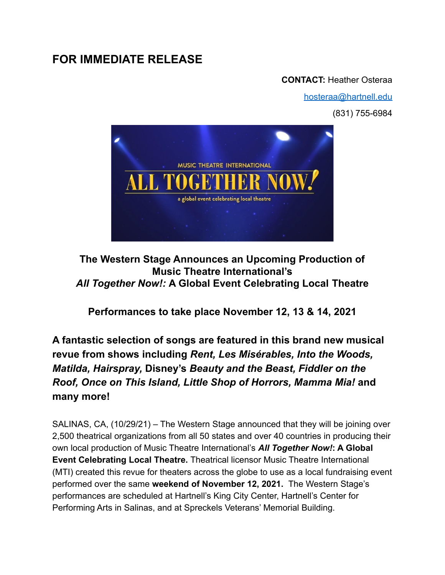# **FOR IMMEDIATE RELEASE**

### **CONTACT:** Heather Osteraa

[hosteraa@hartnell.edu](mailto:hosteraa@hartnell.edu)

(831) 755-6984



**The Western Stage Announces an Upcoming Production of Music Theatre International's** *All Together Now!:* **A Global Event Celebrating Local Theatre**

**Performances to take place November 12, 13 & 14, 2021**

**A fantastic selection of songs are featured in this brand new musical revue from shows including** *Rent, Les Misérables, Into the Woods, Matilda, Hairspray,* **Disney's** *Beauty and the Beast, Fiddler on the Roof, Once on This Island, Little Shop of Horrors, Mamma Mia!* **and many more!**

SALINAS, CA, (10/29/21) – The Western Stage announced that they will be joining over 2,500 theatrical organizations from all 50 states and over 40 countries in producing their own local production of Music Theatre International's *All Together Now!***: A Global Event Celebrating Local Theatre.** Theatrical licensor Music Theatre International (MTI) created this revue for theaters across the globe to use as a local fundraising event performed over the same **weekend of November 12, 2021.** The Western Stage's performances are scheduled at Hartnell's King City Center, Hartnell's Center for Performing Arts in Salinas, and at Spreckels Veterans' Memorial Building.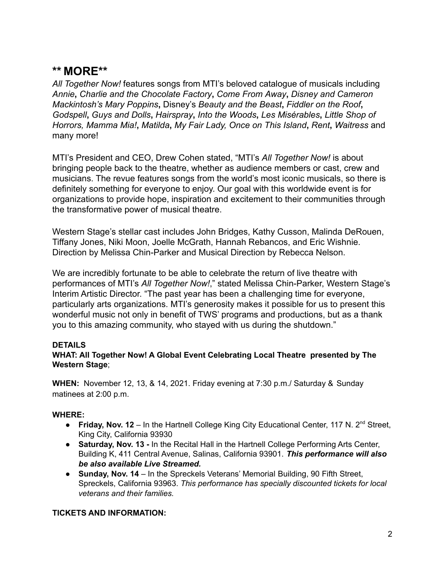## **\*\* MORE\*\***

*All Together Now!* features songs from MTI's beloved catalogue of musicals including *Annie***,** *Charlie and the Chocolate Factory***,** *Come From Away***,** *Disney and Cameron Mackintosh's Mary Poppins***,** Disney's *Beauty and the Beast***,** *Fiddler on the Roof***,** *Godspell***,** *Guys and Dolls***,** *Hairspray***,** *Into the Woods***,** *Les Misérables***,** *Little Shop of Horrors, Mamma Mia!***,** *Matilda***,** *My Fair Lady, Once on This Island***,** *Rent***,** *Waitress* and many more!

MTI's President and CEO, Drew Cohen stated, "MTI's *All Together Now!* is about bringing people back to the theatre, whether as audience members or cast, crew and musicians. The revue features songs from the world's most iconic musicals, so there is definitely something for everyone to enjoy. Our goal with this worldwide event is for organizations to provide hope, inspiration and excitement to their communities through the transformative power of musical theatre.

Western Stage's stellar cast includes John Bridges, Kathy Cusson, Malinda DeRouen, Tiffany Jones, Niki Moon, Joelle McGrath, Hannah Rebancos, and Eric Wishnie. Direction by Melissa Chin-Parker and Musical Direction by Rebecca Nelson.

We are incredibly fortunate to be able to celebrate the return of live theatre with performances of MTI's *All Together Now!*," stated Melissa Chin-Parker, Western Stage's Interim Artistic Director. "The past year has been a challenging time for everyone, particularly arts organizations. MTI's generosity makes it possible for us to present this wonderful music not only in benefit of TWS' programs and productions, but as a thank you to this amazing community, who stayed with us during the shutdown."

### **DETAILS**

#### **WHAT: All Together Now! A Global Event Celebrating Local Theatre presented by The Western Stage**;

**WHEN:** November 12, 13, & 14, 2021. Friday evening at 7:30 p.m./ Saturday & Sunday matinees at 2:00 p.m.

#### **WHERE:**

- **Friday, Nov. 12** In the Hartnell College King City Educational Center, 117 N. 2<sup>nd</sup> Street, King City, California 93930
- *●* **Saturday, Nov. 13 -** In the Recital Hall in the Hartnell College Performing Arts Center, Building K, 411 Central Avenue, Salinas, California 93901. *This performance will also be also available Live Streamed.*
- *●* **Sunday, Nov. 14** In the Spreckels Veterans' Memorial Building, 90 Fifth Street, Spreckels, California 93963. *This performance has specially discounted tickets for local veterans and their families.*

#### **TICKETS AND INFORMATION:**